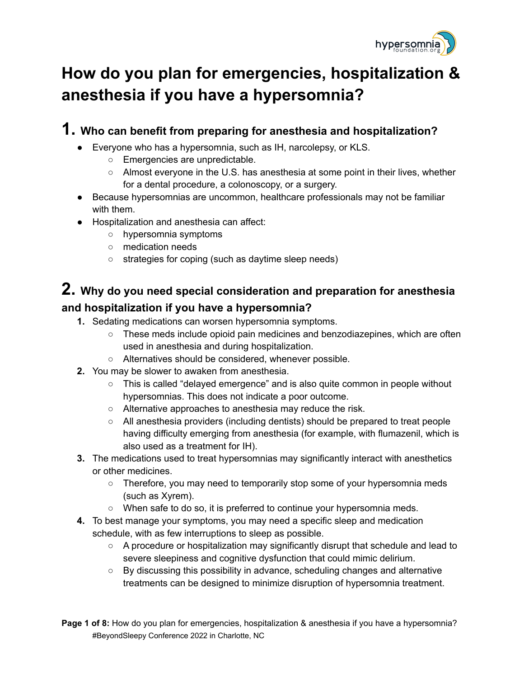

## **How do you plan for emergencies, hospitalization & anesthesia if you have a hypersomnia?**

## **1. Who can benefit from preparing for anesthesia and hospitalization?**

- Everyone who has a hypersomnia, such as IH, narcolepsy, or KLS.
	- Emergencies are unpredictable.
	- $\circ$  Almost everyone in the U.S. has anesthesia at some point in their lives, whether for a dental procedure, a colonoscopy, or a surgery.
- Because hypersomnias are uncommon, healthcare professionals may not be familiar with them.
- Hospitalization and anesthesia can affect:
	- hypersomnia symptoms
	- medication needs
	- strategies for coping (such as daytime sleep needs)

# **2. Why do you need special consideration and preparation for anesthesia**

#### **and hospitalization if you have a hypersomnia?**

- **1.** Sedating medications can worsen hypersomnia symptoms.
	- These meds include opioid pain medicines and benzodiazepines, which are often used in anesthesia and during hospitalization.
	- Alternatives should be considered, whenever possible.
- **2.** You may be slower to awaken from anesthesia.
	- This is called "delayed emergence" and is also quite common in people without hypersomnias. This does not indicate a poor outcome.
	- Alternative approaches to anesthesia may reduce the risk.
	- All anesthesia providers (including dentists) should be prepared to treat people having difficulty emerging from anesthesia (for example, with flumazenil, which is also used as a treatment for IH).
- **3.** The medications used to treat hypersomnias may significantly interact with anesthetics or other medicines.
	- Therefore, you may need to temporarily stop some of your hypersomnia meds (such as Xyrem).
	- When safe to do so, it is preferred to continue your hypersomnia meds.
- **4.** To best manage your symptoms, you may need a specific sleep and medication schedule, with as few interruptions to sleep as possible.
	- A procedure or hospitalization may significantly disrupt that schedule and lead to severe sleepiness and cognitive dysfunction that could mimic delirium.
	- By discussing this possibility in advance, scheduling changes and alternative treatments can be designed to minimize disruption of hypersomnia treatment.

**Page 1 of 8:** How do you plan for emergencies, hospitalization & anesthesia if you have a hypersomnia? #BeyondSleepy Conference 2022 in Charlotte, NC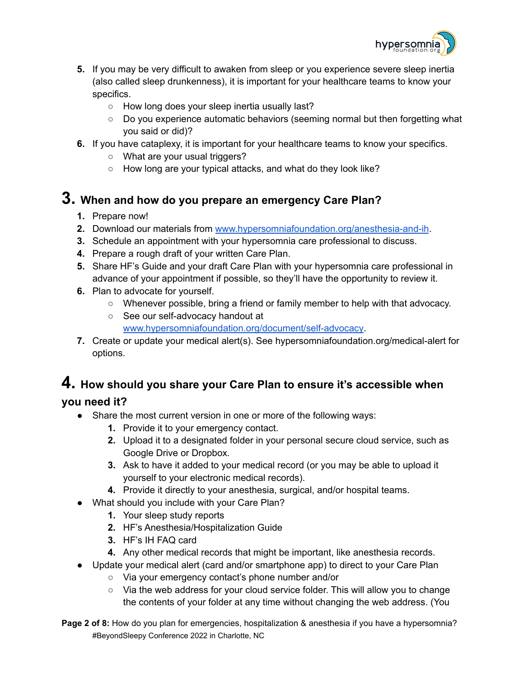

- **5.** If you may be very difficult to awaken from sleep or you experience severe sleep inertia (also called sleep drunkenness), it is important for your healthcare teams to know your specifics.
	- How long does your sleep inertia usually last?
	- Do you experience automatic behaviors (seeming normal but then forgetting what you said or did)?
- **6.** If you have cataplexy, it is important for your healthcare teams to know your specifics.
	- What are your usual triggers?
	- How long are your typical attacks, and what do they look like?

#### **3. When and how do you prepare an emergency Care Plan?**

- **1.** Prepare now!
- **2.** Download our materials from [www.hypersomniafoundation.org/anesthesia-and-ih](http://www.hypersomniafoundation.org/anesthesia-and-ih).
- **3.** Schedule an appointment with your hypersomnia care professional to discuss.
- **4.** Prepare a rough draft of your written Care Plan.
- **5.** Share HF's Guide and your draft Care Plan with your hypersomnia care professional in advance of your appointment if possible, so they'll have the opportunity to review it.
- **6.** Plan to advocate for yourself.
	- Whenever possible, bring a friend or family member to help with that advocacy.
	- See our self-advocacy handout at [www.hypersomniafoundation.org/document/self-advocacy](http://www.hypersomniafoundation.org/document/self-advocacy).
- **7.** Create or update your medical alert(s). See hypersomniafoundation.org/medical-alert for options.

# **4. How should you share your Care Plan to ensure it's accessible when**

#### **you need it?**

- Share the most current version in one or more of the following ways:
	- **1.** Provide it to your emergency contact.
	- **2.** Upload it to a designated folder in your personal secure cloud service, such as Google Drive or Dropbox.
	- **3.** Ask to have it added to your medical record (or you may be able to upload it yourself to your electronic medical records).
	- **4.** Provide it directly to your anesthesia, surgical, and/or hospital teams.
- What should you include with your Care Plan?
	- **1.** Your sleep study reports
	- **2.** HF's Anesthesia/Hospitalization Guide
	- **3.** HF's IH FAQ card
	- **4.** Any other medical records that might be important, like anesthesia records.
- Update your medical alert (card and/or smartphone app) to direct to your Care Plan
	- Via your emergency contact's phone number and/or
	- Via the web address for your cloud service folder. This will allow you to change the contents of your folder at any time without changing the web address. (You
- **Page 2 of 8:** How do you plan for emergencies, hospitalization & anesthesia if you have a hypersomnia? #BeyondSleepy Conference 2022 in Charlotte, NC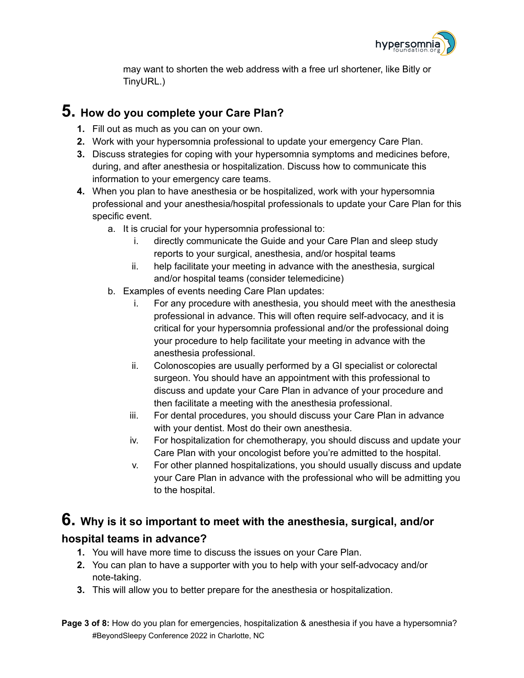

may want to shorten the web address with a free url shortener, like Bitly or TinyURL.)

#### **5. How do you complete your Care Plan?**

- **1.** Fill out as much as you can on your own.
- **2.** Work with your hypersomnia professional to update your emergency Care Plan.
- **3.** Discuss strategies for coping with your hypersomnia symptoms and medicines before, during, and after anesthesia or hospitalization. Discuss how to communicate this information to your emergency care teams.
- **4.** When you plan to have anesthesia or be hospitalized, work with your hypersomnia professional and your anesthesia/hospital professionals to update your Care Plan for this specific event.
	- a. It is crucial for your hypersomnia professional to:
		- i. directly communicate the Guide and your Care Plan and sleep study reports to your surgical, anesthesia, and/or hospital teams
		- ii. help facilitate your meeting in advance with the anesthesia, surgical and/or hospital teams (consider telemedicine)
	- b. Examples of events needing Care Plan updates:
		- i. For any procedure with anesthesia, you should meet with the anesthesia professional in advance. This will often require self-advocacy, and it is critical for your hypersomnia professional and/or the professional doing your procedure to help facilitate your meeting in advance with the anesthesia professional.
		- ii. Colonoscopies are usually performed by a GI specialist or colorectal surgeon. You should have an appointment with this professional to discuss and update your Care Plan in advance of your procedure and then facilitate a meeting with the anesthesia professional.
		- iii. For dental procedures, you should discuss your Care Plan in advance with your dentist. Most do their own anesthesia.
		- iv. For hospitalization for chemotherapy, you should discuss and update your Care Plan with your oncologist before you're admitted to the hospital.
		- v. For other planned hospitalizations, you should usually discuss and update your Care Plan in advance with the professional who will be admitting you to the hospital.

### **6. Why is it so important to meet with the anesthesia, surgical, and/or hospital teams in advance?**

- **1.** You will have more time to discuss the issues on your Care Plan.
- **2.** You can plan to have a supporter with you to help with your self-advocacy and/or note-taking.
- **3.** This will allow you to better prepare for the anesthesia or hospitalization.

**Page 3 of 8:** How do you plan for emergencies, hospitalization & anesthesia if you have a hypersomnia? #BeyondSleepy Conference 2022 in Charlotte, NC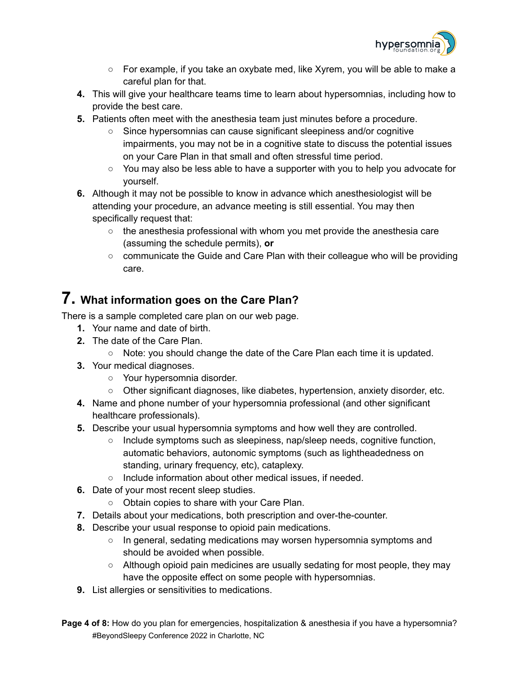

- For example, if you take an oxybate med, like Xyrem, you will be able to make a careful plan for that.
- **4.** This will give your healthcare teams time to learn about hypersomnias, including how to provide the best care.
- **5.** Patients often meet with the anesthesia team just minutes before a procedure.
	- Since hypersomnias can cause significant sleepiness and/or cognitive impairments, you may not be in a cognitive state to discuss the potential issues on your Care Plan in that small and often stressful time period.
	- You may also be less able to have a supporter with you to help you advocate for yourself.
- **6.** Although it may not be possible to know in advance which anesthesiologist will be attending your procedure, an advance meeting is still essential. You may then specifically request that:
	- $\circ$  the anesthesia professional with whom you met provide the anesthesia care (assuming the schedule permits), **or**
	- communicate the Guide and Care Plan with their colleague who will be providing care.

#### **7. What information goes on the Care Plan?**

There is a sample completed care plan on our web page.

- **1.** Your name and date of birth.
- **2.** The date of the Care Plan.
	- Note: you should change the date of the Care Plan each time it is updated.
- **3.** Your medical diagnoses.
	- Your hypersomnia disorder.
	- Other significant diagnoses, like diabetes, hypertension, anxiety disorder, etc.
- **4.** Name and phone number of your hypersomnia professional (and other significant healthcare professionals).
- **5.** Describe your usual hypersomnia symptoms and how well they are controlled.
	- Include symptoms such as sleepiness, nap/sleep needs, cognitive function, automatic behaviors, autonomic symptoms (such as lightheadedness on standing, urinary frequency, etc), cataplexy.
	- Include information about other medical issues, if needed.
- **6.** Date of your most recent sleep studies.
	- Obtain copies to share with your Care Plan.
- **7.** Details about your medications, both prescription and over-the-counter.
- **8.** Describe your usual response to opioid pain medications.
	- In general, sedating medications may worsen hypersomnia symptoms and should be avoided when possible.
	- Although opioid pain medicines are usually sedating for most people, they may have the opposite effect on some people with hypersomnias.
- **9.** List allergies or sensitivities to medications.
- **Page 4 of 8:** How do you plan for emergencies, hospitalization & anesthesia if you have a hypersomnia? #BeyondSleepy Conference 2022 in Charlotte, NC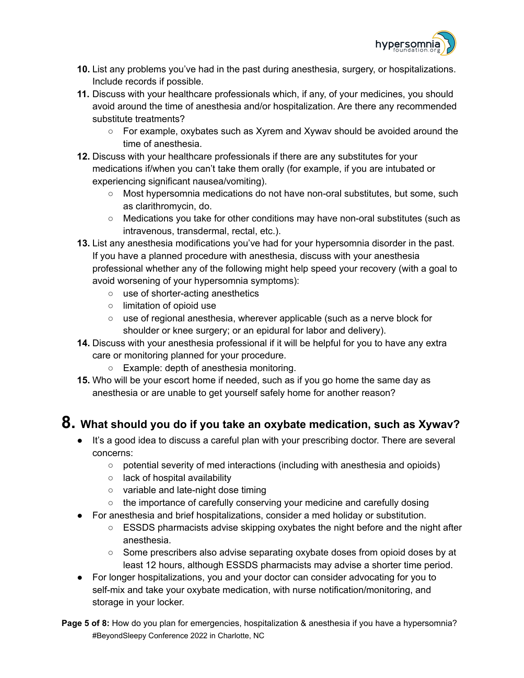

- **10.** List any problems you've had in the past during anesthesia, surgery, or hospitalizations. Include records if possible.
- **11.** Discuss with your healthcare professionals which, if any, of your medicines, you should avoid around the time of anesthesia and/or hospitalization. Are there any recommended substitute treatments?
	- For example, oxybates such as Xyrem and Xywav should be avoided around the time of anesthesia.
- **12.** Discuss with your healthcare professionals if there are any substitutes for your medications if/when you can't take them orally (for example, if you are intubated or experiencing significant nausea/vomiting).
	- Most hypersomnia medications do not have non-oral substitutes, but some, such as clarithromycin, do.
	- Medications you take for other conditions may have non-oral substitutes (such as intravenous, transdermal, rectal, etc.).
- **13.** List any anesthesia modifications you've had for your hypersomnia disorder in the past. If you have a planned procedure with anesthesia, discuss with your anesthesia professional whether any of the following might help speed your recovery (with a goal to avoid worsening of your hypersomnia symptoms):
	- use of shorter-acting anesthetics
	- limitation of opioid use
	- use of regional anesthesia, wherever applicable (such as a nerve block for shoulder or knee surgery; or an epidural for labor and delivery).
- **14.** Discuss with your anesthesia professional if it will be helpful for you to have any extra care or monitoring planned for your procedure.
	- Example: depth of anesthesia monitoring.
- **15.** Who will be your escort home if needed, such as if you go home the same day as anesthesia or are unable to get yourself safely home for another reason?

### **8. What should you do if you take an oxybate medication, such as Xywav?**

- It's a good idea to discuss a careful plan with your prescribing doctor. There are several concerns:
	- potential severity of med interactions (including with anesthesia and opioids)
	- lack of hospital availability
	- variable and late-night dose timing
	- the importance of carefully conserving your medicine and carefully dosing
- For anesthesia and brief hospitalizations, consider a med holiday or substitution.
	- ESSDS pharmacists advise skipping oxybates the night before and the night after anesthesia.
	- Some prescribers also advise separating oxybate doses from opioid doses by at least 12 hours, although ESSDS pharmacists may advise a shorter time period.
- For longer hospitalizations, you and your doctor can consider advocating for you to self-mix and take your oxybate medication, with nurse notification/monitoring, and storage in your locker.

**Page 5 of 8:** How do you plan for emergencies, hospitalization & anesthesia if you have a hypersomnia? #BeyondSleepy Conference 2022 in Charlotte, NC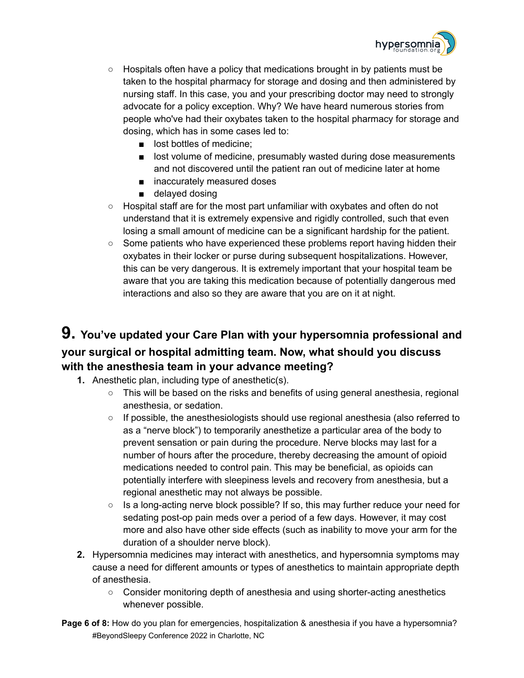

- $\circ$  Hospitals often have a policy that medications brought in by patients must be taken to the hospital pharmacy for storage and dosing and then administered by nursing staff. In this case, you and your prescribing doctor may need to strongly advocate for a policy exception. Why? We have heard numerous stories from people who've had their oxybates taken to the hospital pharmacy for storage and dosing, which has in some cases led to:
	- lost bottles of medicine:
	- lost volume of medicine, presumably wasted during dose measurements and not discovered until the patient ran out of medicine later at home
	- inaccurately measured doses
	- delayed dosing
- Hospital staff are for the most part unfamiliar with oxybates and often do not understand that it is extremely expensive and rigidly controlled, such that even losing a small amount of medicine can be a significant hardship for the patient.
- Some patients who have experienced these problems report having hidden their oxybates in their locker or purse during subsequent hospitalizations. However, this can be very dangerous. It is extremely important that your hospital team be aware that you are taking this medication because of potentially dangerous med interactions and also so they are aware that you are on it at night.

#### **9. You've updated your Care Plan with your hypersomnia professional and your surgical or hospital admitting team. Now, what should you discuss with the anesthesia team in your advance meeting?**

- **1.** Anesthetic plan, including type of anesthetic(s).
	- $\circ$  This will be based on the risks and benefits of using general anesthesia, regional anesthesia, or sedation.
	- $\circ$  If possible, the anesthesiologists should use regional anesthesia (also referred to as a "nerve block") to temporarily anesthetize a particular area of the body to prevent sensation or pain during the procedure. Nerve blocks may last for a number of hours after the procedure, thereby decreasing the amount of opioid medications needed to control pain. This may be beneficial, as opioids can potentially interfere with sleepiness levels and recovery from anesthesia, but a regional anesthetic may not always be possible.
	- Is a long-acting nerve block possible? If so, this may further reduce your need for sedating post-op pain meds over a period of a few days. However, it may cost more and also have other side effects (such as inability to move your arm for the duration of a shoulder nerve block).
- **2.** Hypersomnia medicines may interact with anesthetics, and hypersomnia symptoms may cause a need for different amounts or types of anesthetics to maintain appropriate depth of anesthesia.
	- Consider monitoring depth of anesthesia and using shorter-acting anesthetics whenever possible.
- **Page 6 of 8:** How do you plan for emergencies, hospitalization & anesthesia if you have a hypersomnia? #BeyondSleepy Conference 2022 in Charlotte, NC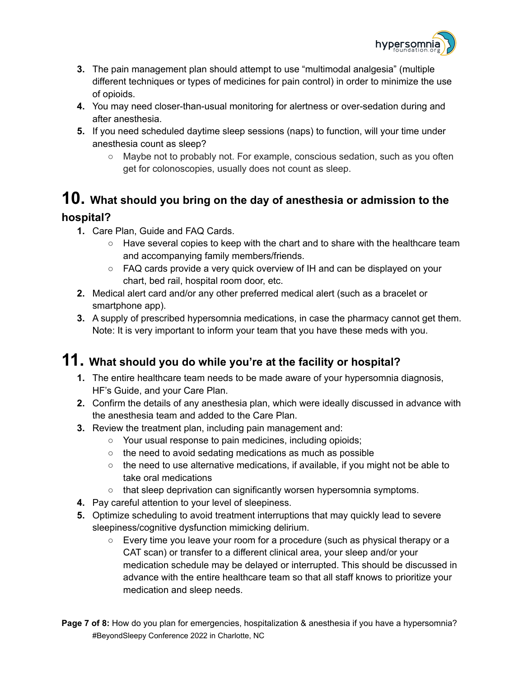

- **3.** The pain management plan should attempt to use "multimodal analgesia" (multiple different techniques or types of medicines for pain control) in order to minimize the use of opioids.
- **4.** You may need closer-than-usual monitoring for alertness or over-sedation during and after anesthesia.
- **5.** If you need scheduled daytime sleep sessions (naps) to function, will your time under anesthesia count as sleep?
	- Maybe not to probably not. For example, conscious sedation, such as you often get for colonoscopies, usually does not count as sleep.

## **10. What should you bring on the day of anesthesia or admission to the**

#### **hospital?**

- **1.** Care Plan, Guide and FAQ Cards.
	- **○** Have several copies to keep with the chart and to share with the healthcare team and accompanying family members/friends.
	- **○** FAQ cards provide a very quick overview of IH and can be displayed on your chart, bed rail, hospital room door, etc.
- **2.** Medical alert card and/or any other preferred medical alert (such as a bracelet or smartphone app).
- **3.** A supply of prescribed hypersomnia medications, in case the pharmacy cannot get them. Note: It is very important to inform your team that you have these meds with you.

### **11. What should you do while you're at the facility or hospital?**

- **1.** The entire healthcare team needs to be made aware of your hypersomnia diagnosis, HF's Guide, and your Care Plan.
- **2.** Confirm the details of any anesthesia plan, which were ideally discussed in advance with the anesthesia team and added to the Care Plan.
- **3.** Review the treatment plan, including pain management and:
	- **○** Your usual response to pain medicines, including opioids;
	- **○** the need to avoid sedating medications as much as possible
	- **○** the need to use alternative medications, if available, if you might not be able to take oral medications
	- **○** that sleep deprivation can significantly worsen hypersomnia symptoms.
- **4.** Pay careful attention to your level of sleepiness.
- **5.** Optimize scheduling to avoid treatment interruptions that may quickly lead to severe sleepiness/cognitive dysfunction mimicking delirium.
	- **○** Every time you leave your room for a procedure (such as physical therapy or a CAT scan) or transfer to a different clinical area, your sleep and/or your medication schedule may be delayed or interrupted. This should be discussed in advance with the entire healthcare team so that all staff knows to prioritize your medication and sleep needs.
- **Page 7 of 8:** How do you plan for emergencies, hospitalization & anesthesia if you have a hypersomnia? #BeyondSleepy Conference 2022 in Charlotte, NC